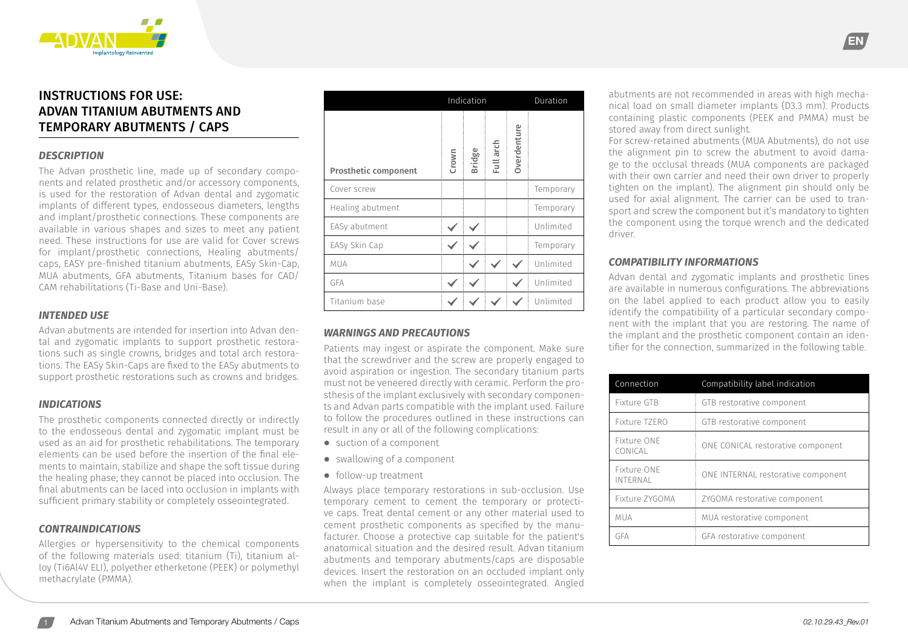

# INSTRUCTIONS FOR USE: ADVAN TITANIUM ABUTMENTS AND TEMPORARY ABUTMENTS / CAPS

## *DESCRIPTION*

The Advan prosthetic line, made up of secondary components and related prosthetic and/or accessory components, is used for the restoration of Advan dental and zygomatic implants of different types, endosseous diameters, lengths and implant/prosthetic connections. These components are available in various shapes and sizes to meet any patient need. These instructions for use are valid for Cover screws for implant/prosthetic connections, Healing abutments/ caps, EASY pre-finished titanium abutments, EASy Skin-Cap, MUA abutments, GFA abutments, Titanium bases for CAD/ CAM rehabilitations (Ti-Base and Uni-Base).

#### *INTENDED USE*

Advan abutments are intended for insertion into Advan dental and zygomatic implants to support prosthetic restorations such as single crowns, bridges and total arch restorations. The EASy Skin-Caps are fixed to the EASy abutments to support prosthetic restorations such as crowns and bridges.

#### *INDICATIONS*

The prosthetic components connected directly or indirectly to the endosseous dental and zygomatic implant must be used as an aid for prosthetic rehabilitations. The temporary elements can be used before the insertion of the final elements to maintain, stabilize and shape the soft tissue during the healing phase; they cannot be placed into occlusion. The final abutments can be laced into occlusion in implants with sufficient primary stability or completely osseointegrated.

#### *CONTRAINDICATIONS*

Allergies or hypersensitivity to the chemical components of the following materials used: titanium (Ti), titanium alloy (Ti6Al4V ELI), polyether etherketone (PEEK) or polymethyl methacrylate (PMMA).

|                             | Indication |               |           |             | Duration  |  |
|-----------------------------|------------|---------------|-----------|-------------|-----------|--|
| <b>Prosthetic component</b> | Crown      | <b>Bridge</b> | Full arch | Overdenture |           |  |
| Cover screw                 |            |               |           |             | Temporary |  |
| Healing abutment            |            |               |           |             | Temporary |  |
| EASy abutment               |            |               |           |             | Unlimited |  |
| EASy Skin Cap               |            |               |           |             | Temporary |  |
| <b>MUA</b>                  |            |               |           |             | Unlimited |  |
| GFA                         |            |               |           |             | Unlimited |  |
| Titanium base               |            |               |           |             | Unlimited |  |

#### *WARNINGS AND PRECAUTIONS*

Patients may ingest or aspirate the component. Make sure that the screwdriver and the screw are properly engaged to avoid aspiration or ingestion. The secondary titanium parts must not be veneered directly with ceramic. Perform the prosthesis of the implant exclusively with secondary components and Advan parts compatible with the implant used. Failure to follow the procedures outlined in these instructions can result in any or all of the following complications:

- **⦁** suction of a component
- **⦁** swallowing of a component
- **⦁** follow-up treatment

Always place temporary restorations in sub-occlusion. Use temporary cement to cement the temporary or protective caps. Treat dental cement or any other material used to cement prosthetic components as specified by the manufacturer. Choose a protective cap suitable for the patient's anatomical situation and the desired result. Advan titanium abutments and temporary abutments/caps are disposable devices. Insert the restoration on an occluded implant only when the implant is completely osseointegrated. Angled

abutments are not recommended in areas with high mechanical load on small diameter implants (D3.3 mm). Products containing plastic components (PEEK and PMMA) must be stored away from direct sunlight.

EN

For screw-retained abutments (MUA Abutments), do not use the alignment pin to screw the abutment to avoid damage to the occlusal threads (MUA components are packaged with their own carrier and need their own driver to properly tighten on the implant). The alignment pin should only be used for axial alignment. The carrier can be used to transport and screw the component but it's mandatory to tighten the component using the torque wrench and the dedicated driver.

#### *COMPATIBILITY INFORMATIONS*

Advan dental and zygomatic implants and prosthetic lines are available in numerous configurations. The abbreviations on the label applied to each product allow you to easily identify the compatibility of a particular secondary component with the implant that you are restoring. The name of the implant and the prosthetic component contain an identifier for the connection, summarized in the following table.

| Connection              | Compatibility label indication     |
|-------------------------|------------------------------------|
| Fixture GTB             | GTB restorative component          |
| Fixture TZERO           | GTB restorative component          |
| Fixture ONE<br>CONICAL  | ONE CONICAL restorative component  |
| Fixture ONE<br>INTERNAL | ONE INTERNAL restorative component |
| Fixture ZYGOMA          | ZYGOMA restorative component       |
| <b>MUA</b>              | MUA restorative component          |
| GFA                     | GFA restorative component          |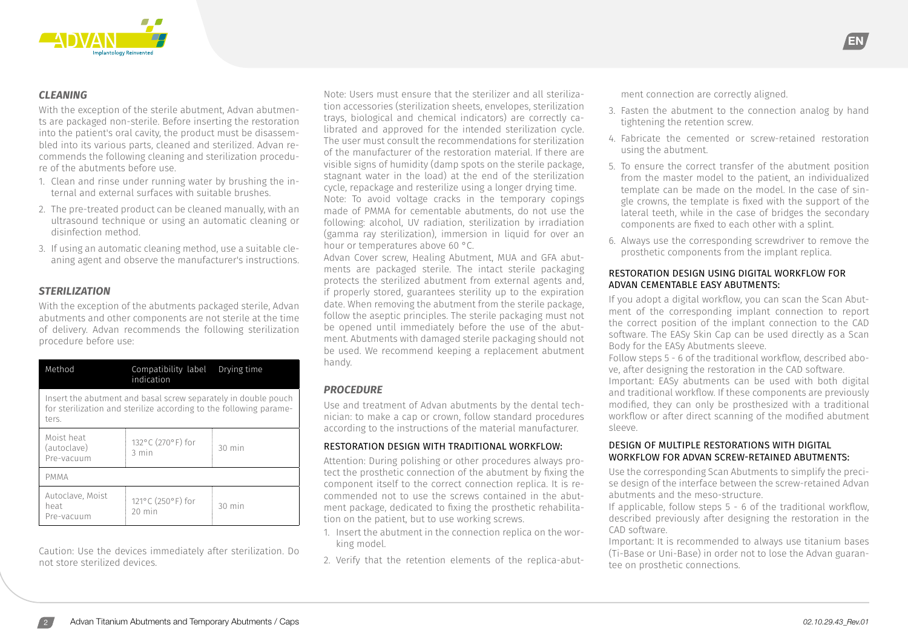

# *CLEANING*

With the exception of the sterile abutment, Advan abutments are packaged non-sterile. Before inserting the restoration into the patient's oral cavity, the product must be disassembled into its various parts, cleaned and sterilized. Advan recommends the following cleaning and sterilization procedure of the abutments before use.

- 1. Clean and rinse under running water by brushing the internal and external surfaces with suitable brushes.
- 2. The pre-treated product can be cleaned manually, with an ultrasound technique or using an automatic cleaning or disinfection method.
- 3. If using an automatic cleaning method, use a suitable cleaning agent and observe the manufacturer's instructions.

# *STERILIZATION*

With the exception of the abutments packaged sterile, Advan abutments and other components are not sterile at the time of delivery. Advan recommends the following sterilization procedure before use:

| Method                                                                                                                                        | Compatibility label<br>indication    | Drying time      |  |  |  |
|-----------------------------------------------------------------------------------------------------------------------------------------------|--------------------------------------|------------------|--|--|--|
| Insert the abutment and basal screw separately in double pouch<br>for sterilization and sterilize according to the following parame-<br>ters. |                                      |                  |  |  |  |
| Moist heat<br>(autoclave)<br>Pre-vacuum                                                                                                       | 132°C (270°F) for<br>$3 \text{ min}$ | $30 \text{ min}$ |  |  |  |
| <b>PMMA</b>                                                                                                                                   |                                      |                  |  |  |  |
| Autoclave, Moist<br>heat<br>Pre-vacuum                                                                                                        | 121°C (250°F) for<br>$20$ min        | 30 min           |  |  |  |

Caution: Use the devices immediately after sterilization. Do not store sterilized devices.

Note: Users must ensure that the sterilizer and all sterilization accessories (sterilization sheets, envelopes, sterilization trays, biological and chemical indicators) are correctly calibrated and approved for the intended sterilization cycle. The user must consult the recommendations for sterilization of the manufacturer of the restoration material. If there are visible signs of humidity (damp spots on the sterile package, stagnant water in the load) at the end of the sterilization cycle, repackage and resterilize using a longer drying time. Note: To avoid voltage cracks in the temporary copings made of PMMA for cementable abutments, do not use the following: alcohol, UV radiation, sterilization by irradiation (gamma ray sterilization), immersion in liquid for over an hour or temperatures above 60 °C.

Advan Cover screw, Healing Abutment, MUA and GFA abutments are packaged sterile. The intact sterile packaging protects the sterilized abutment from external agents and, if properly stored, guarantees sterility up to the expiration date. When removing the abutment from the sterile package, follow the aseptic principles. The sterile packaging must not be opened until immediately before the use of the abutment. Abutments with damaged sterile packaging should not be used. We recommend keeping a replacement abutment handy.

# *PROCEDURE*

Use and treatment of Advan abutments by the dental technician: to make a cap or crown, follow standard procedures according to the instructions of the material manufacturer.

# RESTORATION DESIGN WITH TRADITIONAL WORKFLOW:

Attention: During polishing or other procedures always protect the prosthetic connection of the abutment by fixing the component itself to the correct connection replica. It is recommended not to use the screws contained in the abutment package, dedicated to fixing the prosthetic rehabilitation on the patient, but to use working screws.

- 1. Insert the abutment in the connection replica on the working model.
- 2. Verify that the retention elements of the replica-abut-

ment connection are correctly aligned.

3. Fasten the abutment to the connection analog by hand tightening the retention screw.

EN

- 4. Fabricate the cemented or screw-retained restoration using the abutment.
- 5. To ensure the correct transfer of the abutment position from the master model to the patient, an individualized template can be made on the model. In the case of single crowns, the template is fixed with the support of the lateral teeth, while in the case of bridges the secondary components are fixed to each other with a splint.
- 6. Always use the corresponding screwdriver to remove the prosthetic components from the implant replica.

# RESTORATION DESIGN USING DIGITAL WORKFLOW FOR ADVAN CEMENTABLE EASY ABUTMENTS:

If you adopt a digital workflow, you can scan the Scan Abutment of the corresponding implant connection to report the correct position of the implant connection to the CAD software. The EASy Skin Cap can be used directly as a Scan Body for the EASy Abutments sleeve.

Follow steps 5 - 6 of the traditional workflow, described above, after designing the restoration in the CAD software. Important: EASy abutments can be used with both digital and traditional workflow. If these components are previously modified, they can only be prosthesized with a traditional workflow or after direct scanning of the modified abutment sleeve.

#### DESIGN OF MULTIPLE RESTORATIONS WITH DIGITAL WORKFLOW FOR ADVAN SCREW-RETAINED ABUTMENTS:

Use the corresponding Scan Abutments to simplify the precise design of the interface between the screw-retained Advan abutments and the meso-structure.

If applicable, follow steps 5 - 6 of the traditional workflow, described previously after designing the restoration in the CAD software.

Important: It is recommended to always use titanium bases (Ti-Base or Uni-Base) in order not to lose the Advan guarantee on prosthetic connections.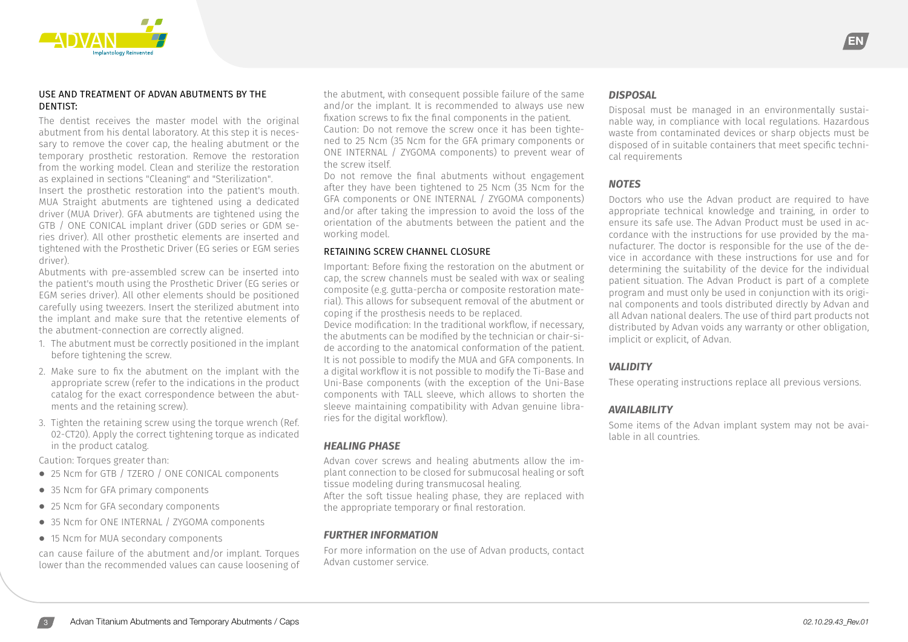

#### USE AND TREATMENT OF ADVAN ABUTMENTS BY THE DENTIST:

The dentist receives the master model with the original abutment from his dental laboratory. At this step it is necessary to remove the cover cap, the healing abutment or the temporary prosthetic restoration. Remove the restoration from the working model. Clean and sterilize the restoration as explained in sections "Cleaning" and "Sterilization".

Insert the prosthetic restoration into the patient's mouth. MUA Straight abutments are tightened using a dedicated driver (MUA Driver). GFA abutments are tightened using the GTB / ONE CONICAL implant driver (GDD series or GDM series driver). All other prosthetic elements are inserted and tightened with the Prosthetic Driver (EG series or EGM series driver).

Abutments with pre-assembled screw can be inserted into the patient's mouth using the Prosthetic Driver (EG series or EGM series driver). All other elements should be positioned carefully using tweezers. Insert the sterilized abutment into the implant and make sure that the retentive elements of the abutment-connection are correctly aligned.

- 1. The abutment must be correctly positioned in the implant before tightening the screw.
- 2. Make sure to fix the abutment on the implant with the appropriate screw (refer to the indications in the product catalog for the exact correspondence between the abutments and the retaining screw).
- 3. Tighten the retaining screw using the torque wrench (Ref. 02-CT20). Apply the correct tightening torque as indicated in the product catalog.

Caution: Torques greater than:

- **⦁** 25 Ncm for GTB / TZERO / ONE CONICAL components
- **⦁** 35 Ncm for GFA primary components
- **⦁** 25 Ncm for GFA secondary components
- **⦁** 35 Ncm for ONE INTERNAL / ZYGOMA components
- **⦁** 15 Ncm for MUA secondary components

can cause failure of the abutment and/or implant. Torques lower than the recommended values can cause loosening of

the abutment, with consequent possible failure of the same and/or the implant. It is recommended to always use new fixation screws to fix the final components in the patient. Caution: Do not remove the screw once it has been tightened to 25 Ncm (35 Ncm for the GFA primary components or ONE INTERNAL / ZYGOMA components) to prevent wear of the screw itself.

Do not remove the final abutments without engagement after they have been tightened to 25 Ncm (35 Ncm for the GFA components or ONE INTERNAL / ZYGOMA components) and/or after taking the impression to avoid the loss of the orientation of the abutments between the patient and the working model.

# RETAINING SCREW CHANNEL CLOSURE

Important: Before fixing the restoration on the abutment or cap, the screw channels must be sealed with wax or sealing composite (e.g. gutta-percha or composite restoration material). This allows for subsequent removal of the abutment or coping if the prosthesis needs to be replaced. Device modification: In the traditional workflow, if necessary, the abutments can be modified by the technician or chair-si-

de according to the anatomical conformation of the patient. It is not possible to modify the MUA and GFA components. In a digital workflow it is not possible to modify the Ti-Base and Uni-Base components (with the exception of the Uni-Base components with TALL sleeve, which allows to shorten the sleeve maintaining compatibility with Advan genuine libraries for the digital workflow).

# *HEALING PHASE*

Advan cover screws and healing abutments allow the implant connection to be closed for submucosal healing or soft tissue modeling during transmucosal healing. After the soft tissue healing phase, they are replaced with the appropriate temporary or final restoration.

# *FURTHER INFORMATION*

For more information on the use of Advan products, contact Advan customer service.

# *DISPOSAL*

Disposal must be managed in an environmentally sustainable way, in compliance with local regulations. Hazardous waste from contaminated devices or sharp objects must be disposed of in suitable containers that meet specific technical requirements

**EN** 

# *NOTES*

Doctors who use the Advan product are required to have appropriate technical knowledge and training, in order to ensure its safe use. The Advan Product must be used in accordance with the instructions for use provided by the manufacturer. The doctor is responsible for the use of the device in accordance with these instructions for use and for determining the suitability of the device for the individual patient situation. The Advan Product is part of a complete program and must only be used in conjunction with its original components and tools distributed directly by Advan and all Advan national dealers. The use of third part products not distributed by Advan voids any warranty or other obligation, implicit or explicit, of Advan.

# *VALIDITY*

These operating instructions replace all previous versions.

#### *AVAILABILITY*

Some items of the Advan implant system may not be available in all countries.